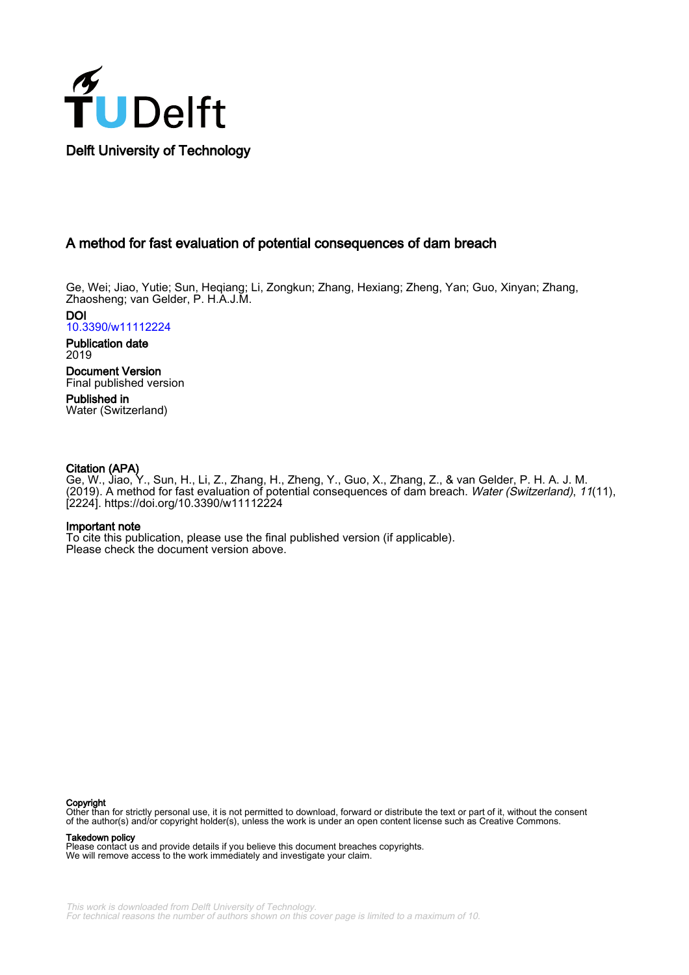

### A method for fast evaluation of potential consequences of dam breach

Ge, Wei; Jiao, Yutie; Sun, Heqiang; Li, Zongkun; Zhang, Hexiang; Zheng, Yan; Guo, Xinyan; Zhang, Zhaosheng; van Gelder, P. H.A.J.M.

DOI [10.3390/w11112224](https://doi.org/10.3390/w11112224)

Publication date 2019

Document Version Final published version

Published in Water (Switzerland)

### Citation (APA)

Ge, W., Jiao, Y., Sun, H., Li, Z., Zhang, H., Zheng, Y., Guo, X., Zhang, Z., & van Gelder, P. H. A. J. M. (2019). A method for fast evaluation of potential consequences of dam breach. Water (Switzerland), 11(11), [2224].<https://doi.org/10.3390/w11112224>

#### Important note

To cite this publication, please use the final published version (if applicable). Please check the document version above.

#### **Copyright**

Other than for strictly personal use, it is not permitted to download, forward or distribute the text or part of it, without the consent of the author(s) and/or copyright holder(s), unless the work is under an open content license such as Creative Commons.

#### Takedown policy

Please contact us and provide details if you believe this document breaches copyrights. We will remove access to the work immediately and investigate your claim.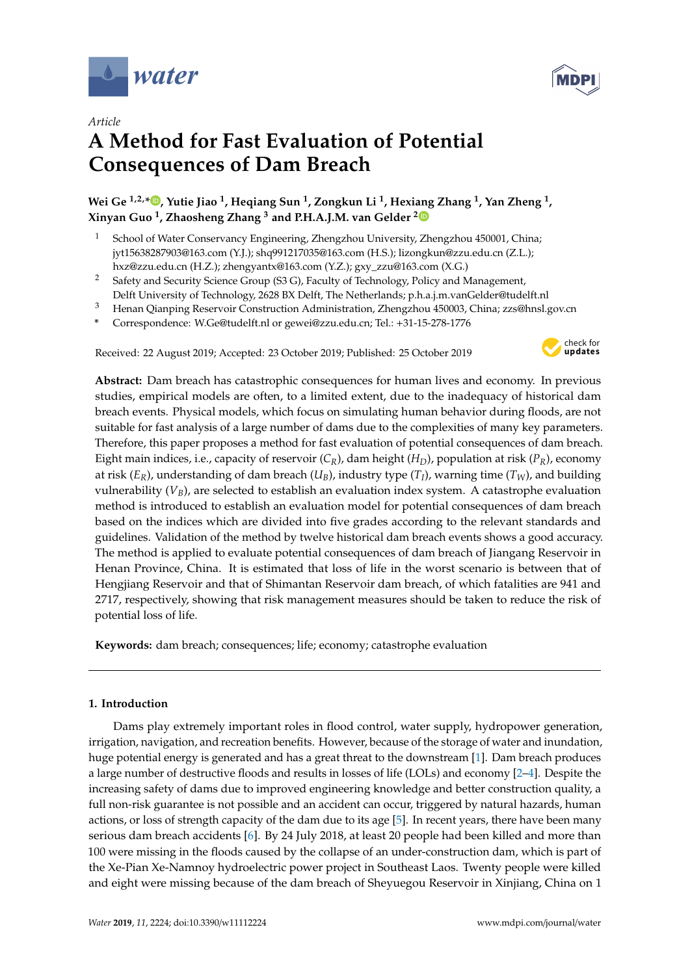



# **A Method for Fast Evaluation of Potential Consequences of Dam Breach**

**Wei Ge 1,2,\* [,](https://orcid.org/0000-0001-5962-1520) Yutie Jiao <sup>1</sup> , Heqiang Sun <sup>1</sup> , Zongkun Li <sup>1</sup> , Hexiang Zhang <sup>1</sup> , Yan Zheng <sup>1</sup> , Xinyan Guo <sup>1</sup> , Zhaosheng Zhang <sup>3</sup> and P.H.A.J.M. van Gelder [2](https://orcid.org/0000-0002-0001-0351)**

- <sup>1</sup> School of Water Conservancy Engineering, Zhengzhou University, Zhengzhou 450001, China; jyt15638287903@163.com (Y.J.); shq991217035@163.com (H.S.); lizongkun@zzu.edu.cn (Z.L.); hxz@zzu.edu.cn (H.Z.); zhengyantx@163.com (Y.Z.); gxy\_zzu@163.com (X.G.)
- <sup>2</sup> Safety and Security Science Group (S3 G), Faculty of Technology, Policy and Management, Delft University of Technology, 2628 BX Delft, The Netherlands; p.h.a.j.m.vanGelder@tudelft.nl
- <sup>3</sup> Henan Qianping Reservoir Construction Administration, Zhengzhou 450003, China; zzs@hnsl.gov.cn
- **\*** Correspondence: W.Ge@tudelft.nl or gewei@zzu.edu.cn; Tel.: +31-15-278-1776

Received: 22 August 2019; Accepted: 23 October 2019; Published: 25 October 2019



**Abstract:** Dam breach has catastrophic consequences for human lives and economy. In previous studies, empirical models are often, to a limited extent, due to the inadequacy of historical dam breach events. Physical models, which focus on simulating human behavior during floods, are not suitable for fast analysis of a large number of dams due to the complexities of many key parameters. Therefore, this paper proposes a method for fast evaluation of potential consequences of dam breach. Eight main indices, i.e., capacity of reservoir (*CR*), dam height (*HD*), population at risk (*PR*), economy at risk (*ER*), understanding of dam breach (*UB*), industry type (*T<sup>I</sup>* ), warning time (*TW*), and building vulnerability (*VB*), are selected to establish an evaluation index system. A catastrophe evaluation method is introduced to establish an evaluation model for potential consequences of dam breach based on the indices which are divided into five grades according to the relevant standards and guidelines. Validation of the method by twelve historical dam breach events shows a good accuracy. The method is applied to evaluate potential consequences of dam breach of Jiangang Reservoir in Henan Province, China. It is estimated that loss of life in the worst scenario is between that of Hengjiang Reservoir and that of Shimantan Reservoir dam breach, of which fatalities are 941 and 2717, respectively, showing that risk management measures should be taken to reduce the risk of potential loss of life.

**Keywords:** dam breach; consequences; life; economy; catastrophe evaluation

#### **1. Introduction**

Dams play extremely important roles in flood control, water supply, hydropower generation, irrigation, navigation, and recreation benefits. However, because of the storage of water and inundation, huge potential energy is generated and has a great threat to the downstream [\[1\]](#page-10-0). Dam breach produces a large number of destructive floods and results in losses of life (LOLs) and economy [\[2–](#page-10-1)[4\]](#page-10-2). Despite the increasing safety of dams due to improved engineering knowledge and better construction quality, a full non-risk guarantee is not possible and an accident can occur, triggered by natural hazards, human actions, or loss of strength capacity of the dam due to its age [\[5\]](#page-11-0). In recent years, there have been many serious dam breach accidents [\[6\]](#page-11-1). By 24 July 2018, at least 20 people had been killed and more than 100 were missing in the floods caused by the collapse of an under-construction dam, which is part of the Xe-Pian Xe-Namnoy hydroelectric power project in Southeast Laos. Twenty people were killed and eight were missing because of the dam breach of Sheyuegou Reservoir in Xinjiang, China on 1

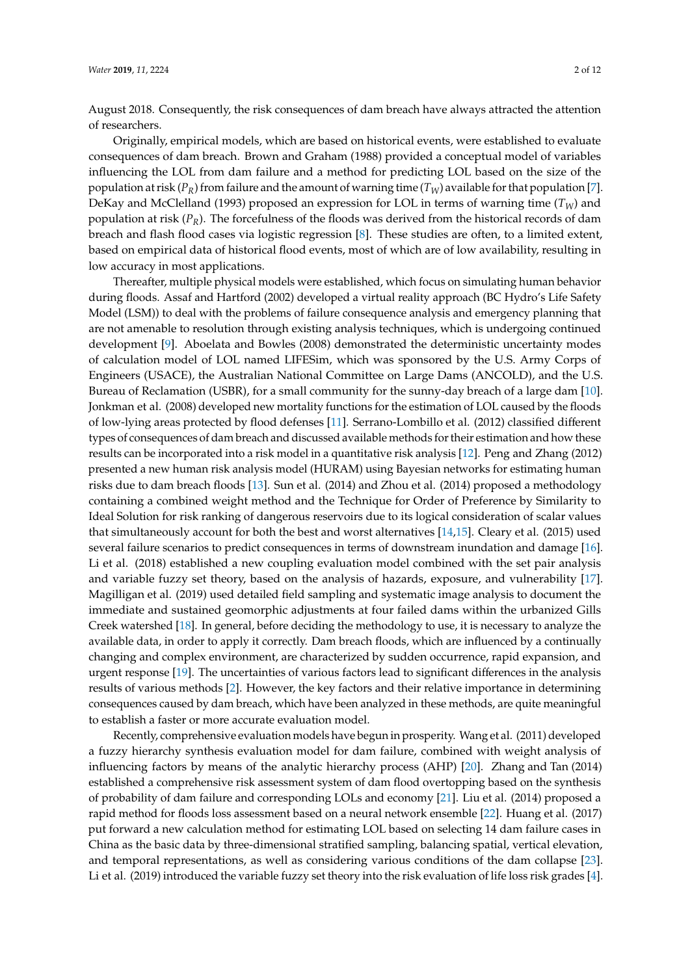August 2018. Consequently, the risk consequences of dam breach have always attracted the attention of researchers.

Originally, empirical models, which are based on historical events, were established to evaluate consequences of dam breach. Brown and Graham (1988) provided a conceptual model of variables influencing the LOL from dam failure and a method for predicting LOL based on the size of the population at risk  $(P_R)$  from failure and the amount of warning time  $(T_W)$  available for that population [\[7\]](#page-11-2). DeKay and McClelland (1993) proposed an expression for LOL in terms of warning time (*TW*) and population at risk (*PR*). The forcefulness of the floods was derived from the historical records of dam breach and flash flood cases via logistic regression [\[8\]](#page-11-3). These studies are often, to a limited extent, based on empirical data of historical flood events, most of which are of low availability, resulting in low accuracy in most applications.

Thereafter, multiple physical models were established, which focus on simulating human behavior during floods. Assaf and Hartford (2002) developed a virtual reality approach (BC Hydro's Life Safety Model (LSM)) to deal with the problems of failure consequence analysis and emergency planning that are not amenable to resolution through existing analysis techniques, which is undergoing continued development [\[9\]](#page-11-4). Aboelata and Bowles (2008) demonstrated the deterministic uncertainty modes of calculation model of LOL named LIFESim, which was sponsored by the U.S. Army Corps of Engineers (USACE), the Australian National Committee on Large Dams (ANCOLD), and the U.S. Bureau of Reclamation (USBR), for a small community for the sunny-day breach of a large dam [\[10\]](#page-11-5). Jonkman et al. (2008) developed new mortality functions for the estimation of LOL caused by the floods of low-lying areas protected by flood defenses [\[11\]](#page-11-6). Serrano-Lombillo et al. (2012) classified different types of consequences of dam breach and discussed available methods for their estimation and how these results can be incorporated into a risk model in a quantitative risk analysis [\[12\]](#page-11-7). Peng and Zhang (2012) presented a new human risk analysis model (HURAM) using Bayesian networks for estimating human risks due to dam breach floods [\[13\]](#page-11-8). Sun et al. (2014) and Zhou et al. (2014) proposed a methodology containing a combined weight method and the Technique for Order of Preference by Similarity to Ideal Solution for risk ranking of dangerous reservoirs due to its logical consideration of scalar values that simultaneously account for both the best and worst alternatives [\[14,](#page-11-9)[15\]](#page-11-10). Cleary et al. (2015) used several failure scenarios to predict consequences in terms of downstream inundation and damage [\[16\]](#page-11-11). Li et al. (2018) established a new coupling evaluation model combined with the set pair analysis and variable fuzzy set theory, based on the analysis of hazards, exposure, and vulnerability [\[17\]](#page-11-12). Magilligan et al. (2019) used detailed field sampling and systematic image analysis to document the immediate and sustained geomorphic adjustments at four failed dams within the urbanized Gills Creek watershed [\[18\]](#page-11-13). In general, before deciding the methodology to use, it is necessary to analyze the available data, in order to apply it correctly. Dam breach floods, which are influenced by a continually changing and complex environment, are characterized by sudden occurrence, rapid expansion, and urgent response [\[19\]](#page-11-14). The uncertainties of various factors lead to significant differences in the analysis results of various methods [\[2\]](#page-10-1). However, the key factors and their relative importance in determining consequences caused by dam breach, which have been analyzed in these methods, are quite meaningful to establish a faster or more accurate evaluation model.

Recently, comprehensive evaluation models have begun in prosperity. Wang et al. (2011) developed a fuzzy hierarchy synthesis evaluation model for dam failure, combined with weight analysis of influencing factors by means of the analytic hierarchy process (AHP) [\[20\]](#page-11-15). Zhang and Tan (2014) established a comprehensive risk assessment system of dam flood overtopping based on the synthesis of probability of dam failure and corresponding LOLs and economy [\[21\]](#page-11-16). Liu et al. (2014) proposed a rapid method for floods loss assessment based on a neural network ensemble [\[22\]](#page-11-17). Huang et al. (2017) put forward a new calculation method for estimating LOL based on selecting 14 dam failure cases in China as the basic data by three-dimensional stratified sampling, balancing spatial, vertical elevation, and temporal representations, as well as considering various conditions of the dam collapse [\[23\]](#page-11-18). Li et al. (2019) introduced the variable fuzzy set theory into the risk evaluation of life loss risk grades [\[4\]](#page-10-2).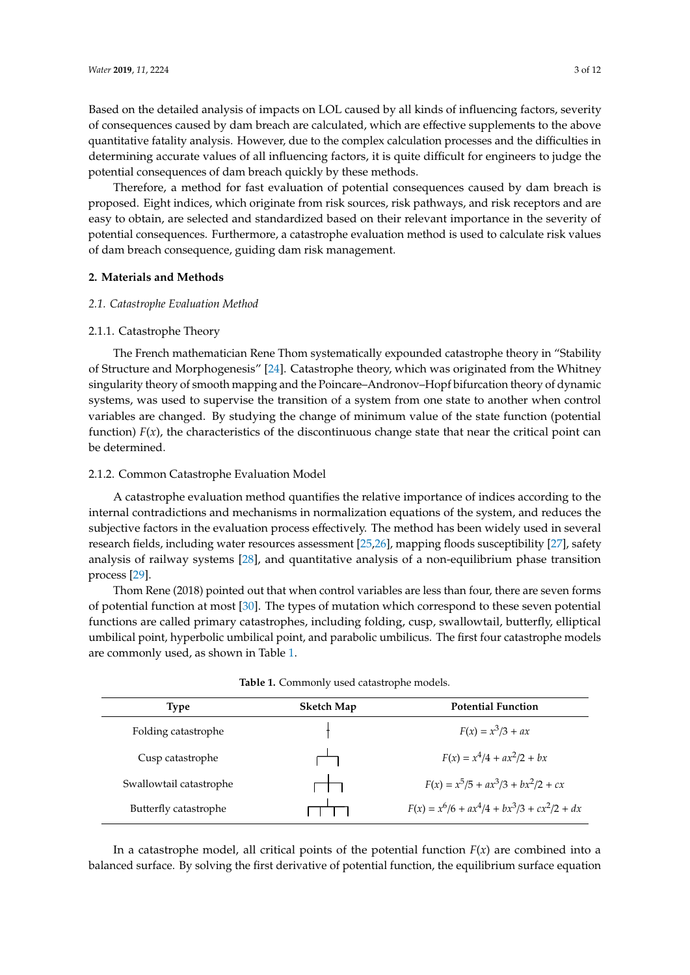Based on the detailed analysis of impacts on LOL caused by all kinds of influencing factors, severity<br>of consequences caused by dam breach are calculated, which are effective supplements to the above of consequences caused by dam breach are calculated, which are effective supplements to the above quantitative fatality analysis. However, due to the complex calculation processes and the difficulties in determining accurate values of all influencing factors, it is quite difficult for engineers to judge the potential consequences of dam breach quickly by these methods.

Therefore, a method for fast evaluation of potential consequences caused by dam breach is proposed. Eight indices, which originate from risk sources, risk pathways, and risk receptors and are easy to obtain, are selected and standardized based on their relevant importance in the severity of potential consequences. Furthermore, a catastrophe evaluation method is used to calculate risk values **1**<br>of dam breach consequence, guiding dam risk management. *2.1. Catastrophe Evaluation Method* **2. Materials and Methods**

### **2. Materials and Methods** *2.1. Catastrophe Evaluation Method*

#### 2.1. Catastrophe Evaluation Method **The French mathematic mathematical** *2.1. Catastrophe Evaluation Method*

#### 2.1.1. Catastrophe Theory "Stability of Structure and Morphogenesis" [24]. Catastrophe theory, which was originated from the  $\mathcal{N}_{\text{max}}$  singularity theory of smooth mapping and the Poincare–Andronov–Hopf bifurcation–Hopf bifurcation 2.1.1. Catastrophe Theory

The French mathematician Rene Thom systematically expounded catastrophe theory in "Stability of Structure and Morphogenesis" [\[24\]](#page-11-19). Catastrophe theory, which was originated from the Whitney or structure and Morphogenesis [24]. Catastrophe theory, which was originated from the winney<br>singularity theory of smooth mapping and the Poincare–Andronov–Hopf bifurcation theory of dynamic systems, was used to supervise the transition of a system from one state to another when control systems, was used to supervise the transition of a system from one state to another when control<br>variables are changed. By studying the change of minimum value of the state function (potential function)  $F(x)$ , the characteristics of the discontinuous change state that near the critical point can  $\overline{\text{2.1}}$  be determined.  $A_{\alpha}$  catalogue importance importance importance of indices according to the relative importance of indices according to the relative importance of indices according to the relative importance of indices according to th The French mathematician Rene Thom systematically expounded catastrophe theory in The French mathematician Rene Thom systematically expounded catastrophe theory in Stability The French mathematician Rene Thom systematically expounded catastrophe theory in  $\frac{f(x)}{g(x)}$ , the characteristics of the discontinuous change state that near the critical point can

# 2.1.2. Common Catastrophe Evaluation Model

A catastrophe evaluation method quantifies the relative importance of indices according to the internal contradictions and mechanisms in normalization equations of the system, and reduces the<br>cultivative feature in the contradiction masses of estimate Theoretheal has been widely seen discovered. subjective factors in the evaluation process effectively. The method has been widely used in several saffective ractors in the evandation process encenvery. The method has seen wheny dised in several research fields, including water resources assessment [\[25](#page-11-20)[,26\]](#page-11-21), mapping floods susceptibility [\[27\]](#page-12-0), safety analysis of railway systems [\[28\]](#page-12-1), and quantitative analysis of a non-equilibrium phase transition<br>[28] process [\[29\]](#page-12-2). A catastrophe evaluation method quantifies the relative importance of indices according to the transition process and the control variables are less than  $[25,20]$ , mapping noods susceptionity  $[27]$ , safety subjective factors in the evaluation process effectively. The method has been widely used in several research fields, including water resources assessment  $\Gamma$  as  $\Omega$ , mapping floods susceptibility  $\Gamma$ 27], which is the susceptibility for  $\Gamma$ safety analysis of  $\alpha$  is the railway system of  $\alpha$  non-equilibrium phase  $\alpha$  non-equilibrium phase  $\alpha$  non-equilibrium phase  $\alpha$ ternal contradictions and mechanisms in normalization equations of the system, and reduces the research fields, including water resources assessment [25,26], mapping floods susceptibility [27], alysis of railway systems  $[28]$ , and quantitative analysis of a non-equilibrium phase transition

ocess [29].<br>Thom Rene (2018) pointed out that when control variables are less than four, there are seven forms potential function at most [\[30\]](#page-12-3). The types of mutation which correspond to these seven potential of potential function at most [30]. The types of mutation which correspond to these seven potential functions are called primary catastrophes, including folding, cusp, swallowtail, butterfly, elliptical<br> umbilical point, hyperbolic umbilical point, and parabolic umbilicus. The first four catastrophe models<br>
are commonly used, as shown in Table 1. are commonly used, as shown in Table [1.](#page-3-0) potential function at most [50]. The types of mutation which correspond to these seven potential Thom Rene (2018) pointed out that when control variables are less than four, there are seven forms **Type Sketch map Potential function** potential function at most  $[30]$ . The types of mutation which correspond to these seven potential potions are called primary catastrophes, including folding, cusp, swallowtail, butterfly, elliptical  $\frac{1}{2}$  point by perbolic umbilical point, and parabolic umbilicus. The first four catastrophe models

<span id="page-3-0"></span>

| <b>Type</b>             | Sketch Map | <b>Potential Function</b>                      |
|-------------------------|------------|------------------------------------------------|
| Folding catastrophe     |            | $F(x) = x^3/3 + ax$                            |
| Cusp catastrophe        |            | $F(x) = x^4/4 + ax^2/2 + bx$                   |
| Swallowtail catastrophe |            | $F(x) = x^5/5 + ax^3/3 + bx^2/2 + cx$          |
| Butterfly catastrophe   |            | $F(x) = x^6/6 + ax^4/4 + bx^3/3 + cx^2/2 + dx$ |

| <b>Table 1.</b> Commonly used catastrophe models. |  |
|---------------------------------------------------|--|

In a catastrophe model, all critical points of the potential function  $F(x)$  are combined into a lanced surface. By solving the first derivative of potential function, the equilibrium surface equation In a catastrophe model, all critical points of the potential function  $F(x)$  are combined into a lanced surface. By solving the first derivative of potential function, the equilibrium surface equation In a catastrophe model, all critical points of the potential function *F*(*x*) are combined into a In a catastrophe model, all critical points of the potential function *F*(*x*) are combined into a balanced surface surface surface of potential function, the equilibrium surface of potential function, the equilibrium surface of potential function, the equilibrium surface of potential function, the equilibrium surface o balanced surface. By solving the first derivative of potential function, the equilibrium surface equation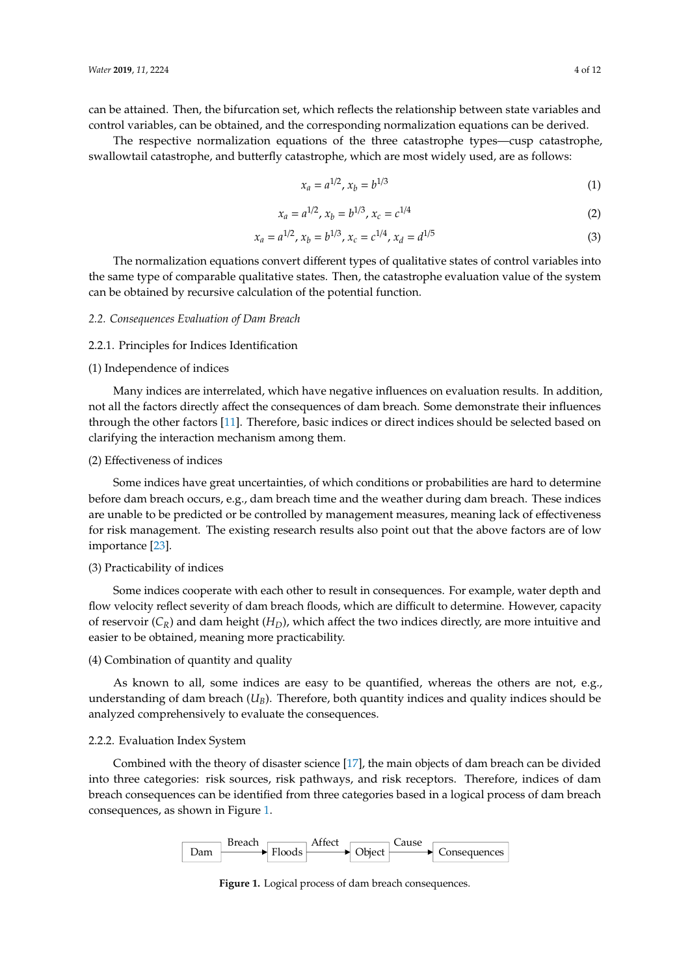can be attained. Then, the bifurcation set, which reflects the relationship between state variables and control variables, can be obtained, and the corresponding normalization equations can be derived.

The respective normalization equations of the three catastrophe types—cusp catastrophe, swallowtail catastrophe, and butterfly catastrophe, which are most widely used, are as follows:

$$
x_a = a^{1/2}, x_b = b^{1/3} \tag{1}
$$

$$
x_a = a^{1/2}, x_b = b^{1/3}, x_c = c^{1/4}
$$
 (2)

$$
x_a = a^{1/2}, x_b = b^{1/3}, x_c = c^{1/4}, x_d = d^{1/5}
$$
 (3)

The normalization equations convert different types of qualitative states of control variables into the same type of comparable qualitative states. Then, the catastrophe evaluation value of the system the system<br> can be obtained by recursive calculation of the potential function. The normalization equations converted to  $\mathcal{L}_\text{max}$  of  $\mathcal{L}_\text{max}$  of  $\mathcal{L}_\text{max}$ into the normalization equations convert unterent types or qualitative states of control valiables line

# *2.2. Consequences Evaluation of Dam Breach 2.2. Consequences Evaluation of Dam Breach*

# 2.2.1. Principles for Indices Identification 2.2.1. Principles for Indices Identification

# (1) Independence of indices (1) Independence of indices

Many indices are interrelated, which have negative influences on evaluation results. In addition, Many indices are interrelated, which have negative influences on evaluation results. In not all the factors directly affect the consequences of dam breach. Some demonstrate their influences through the other factors [\[11\]](#page-11-6). Therefore, basic indices or direct indices should be selected based on clarifying the interaction mechanism among them.

# (2) Effectiveness of indices (2) Effectiveness of indices

Some indices have great uncertainties, of which conditions or probabilities are hard to determine Some indices have great uncertainties, of which conditions or probabilities are hard to before dam breach occurs, e.g., dam breach time and the weather during dam breach. These indices are unable to be predicted or be controlled by management measures, meaning lack of effectiveness for risk management. The existing research results also point out that the above factors are of low  $im$ portance  $[23]$ .

# (3) Practicability of indices (3) Practicability of indices

Some indices cooperate with each other to result in consequences. For example, water depth and Some indices cooperate with each other to result in consequences. For example, water depth flow velocity reflect severity of dam breach floods, which are difficult to determine. However, capacity of reservoir  $(C_R)$  and dam height  $(H_D)$ , which affect the two indices directly, are more intuitive and easier to be obtained, meaning more practicability.

# (4) Combination of quantity and quality (4) Combination of quantity and quality

As known to all, some indices are easy to be quantified, whereas the others are not, e.g., As known to all, some indices are easy to be quantified, whereas the others are not, e.g., understanding of dam breach (*UB*). Therefore, both quantity indices and quality indices should be understanding of dam breach (*UB*). Therefore, both quantity indices and quality indices should be analyzed comprehensively to evaluate the consequences. analyzed comprehensively to evaluate the consequences.

### 2.2.2. Evaluation Index System 2.2.2. Evaluation Index System

<span id="page-4-0"></span>Combined with the theory of disaster science [\[17\]](#page-11-12), the main objects of dam breach can be divided into three categories: risk sources, risk pathways, and risk receptors. Therefore, indices of dam breach consequences can be identified from three categories based in a logical process of dam breach consequences, as shown in Figure [1.](#page-4-0)



**Figure 1.** Logical process of dam breach consequences. **Figure 1.** Logical process of dam breach consequences.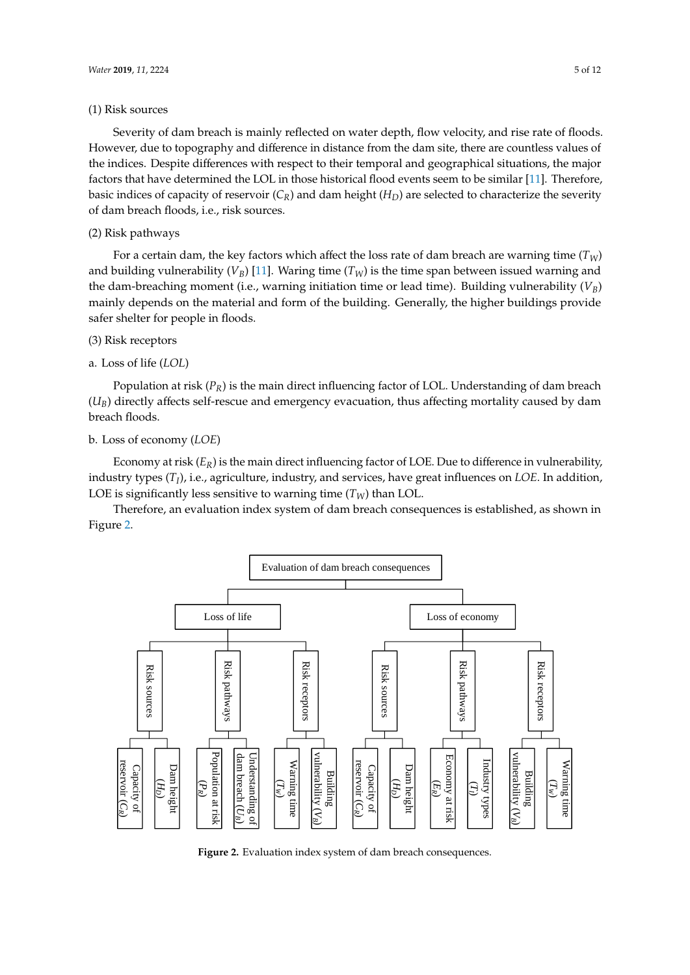#### (1) Risk sources

Severity of dam breach is mainly reflected on water depth, flow velocity, and rise rate of floods. However, due to topography and difference in distance from the dam site, there are countless values of the indices. Despite differences with respect to their temporal and geographical situations, the major factors that have determined the LOL in those historical flood events seem to be similar [\[11\]](#page-11-6). Therefore, basic indices of capacity of reservoir  $(C_R)$  and dam height  $(H_D)$  are selected to characterize the severity of dam hereab floods i.e. with severes of dam breach floods, i.e., risk sources.  $t_{\rm{max}}$  flower is see, i.e., risk sources.

# (2) Risk pathways (2) Risk pathways

For a certain dam, the key factors which affect the loss rate of dam breach are warning time  $(T_W)$ and building vulnerability  $(V_B)$  [\[11\]](#page-11-6). Waring time  $(T_W)$  is the time span between issued warning and the dam-breaching moment (i.e., warning initiation time or lead time). Building vulnerability  $(V_B)$ the main breaching instruments (i.e., warning initiative time or lead time). Building, warning vulnerability (*V<sub>B</sub>*) safer shelter for people in floods. safer shelter for people in floods.  $m$  depends on the material and form of the building. Generally, the higher buildings provide

# (3) Risk receptors (3) Risk receptors

# a. Loss of life (*LOL*) a. Loss of life (*LOL*)

Population at risk (*PR*) is the main direct influencing factor of LOL. Understanding of dam breach (*U<sub>B</sub>*) directly affects self-rescue and emergency evacuation, thus affecting mortality caused by dam (*U<sub>B</sub>*) directly affects self-rescue and emergency evacuation, thus affecting mortality caused by dam breach floods. breach (*UB*) directly affects self-rescue and emergency evacuation, thus affecting mortality caused by dam breach floods.

# b. Loss of economy (*LOE*) b. Loss of economy (*LOE*)

Economy at risk  $(E_R)$  is the main direct influencing factor of LOE. Due to difference in vulnerability,  $\frac{1}{2}$  industry types  $(T_I)$ , i.e., agriculture, industry, and services, have great influences on *LOE*. In addition, LOE is significantly less sensitive to warning time  $(T_W)$  than LOL.

**Therefore, an evaluation index system of dam breach consequences is established, as shown in** Figure [2.](#page-5-0) Figure 2. Therefore, an evaluation index system of dam breach consequences is established, as shown in

<span id="page-5-0"></span>

**Figure 2.** Evaluation index system of dam breach consequences. **Figure 2.** Evaluation index system of dam breach consequences.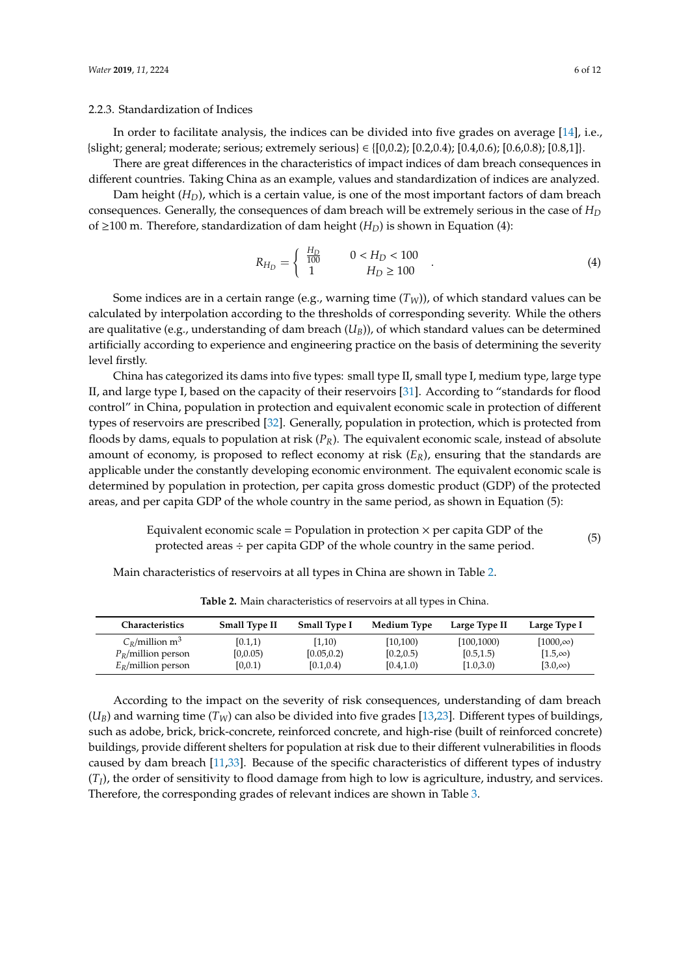#### 2.2.3. Standardization of Indices

In order to facilitate analysis, the indices can be divided into five grades on average [\[14\]](#page-11-9), i.e., {slight; general; moderate; serious; extremely serious}  $\in \{[0,0.2)$ ;  $[0.2,0.4)$ ;  $[0.4,0.6)$ ;  $[0.6,0.8)$ ;  $[0.8,1]$ }.

There are great differences in the characteristics of impact indices of dam breach consequences in different countries. Taking China as an example, values and standardization of indices are analyzed.

Dam height (*HD*), which is a certain value, is one of the most important factors of dam breach consequences. Generally, the consequences of dam breach will be extremely serious in the case of *H<sup>D</sup>* of ≥100 m. Therefore, standardization of dam height (*HD*) is shown in Equation (4):

$$
R_{H_D} = \begin{cases} \frac{H_D}{100} & 0 < H_D < 100 \\ 1 & H_D \ge 100 \end{cases} . \tag{4}
$$

Some indices are in a certain range (e.g., warning time (*TW*)), of which standard values can be calculated by interpolation according to the thresholds of corresponding severity. While the others are qualitative (e.g., understanding of dam breach (*UB*)), of which standard values can be determined artificially according to experience and engineering practice on the basis of determining the severity level firstly.

China has categorized its dams into five types: small type II, small type I, medium type, large type II, and large type I, based on the capacity of their reservoirs [\[31\]](#page-12-4). According to "standards for flood control" in China, population in protection and equivalent economic scale in protection of different types of reservoirs are prescribed [\[32\]](#page-12-5). Generally, population in protection, which is protected from floods by dams, equals to population at risk (*PR*). The equivalent economic scale, instead of absolute amount of economy, is proposed to reflect economy at risk (*ER*), ensuring that the standards are applicable under the constantly developing economic environment. The equivalent economic scale is determined by population in protection, per capita gross domestic product (GDP) of the protected areas, and per capita GDP of the whole country in the same period, as shown in Equation (5):

Equivalent economic scale = Population in protection 
$$
\times
$$
 per capita GDP of the protected areas  $\div$  per capita GDP of the whole country in the same period.

\n**(5)**

Main characteristics of reservoirs at all types in China are shown in Table [2.](#page-6-0)

<span id="page-6-0"></span>

| Characteristics               | <b>Small Type II</b> | <b>Small Type I</b> | <b>Medium Type</b> | Large Type II | Large Type I    |
|-------------------------------|----------------------|---------------------|--------------------|---------------|-----------------|
| $C_R$ /million m <sup>3</sup> | [0.1,1)              | (1,10)              | [10, 100]          | [100, 1000)   | $[1000,\infty)$ |
| $P_R$ /million person         | [0,0.05)             | [0.05, 0.2)         | [0.2, 0.5]         | [0.5, 1.5)    | $[1.5,\infty)$  |
| $E_R$ /million person         | [0.0.1)              | [0.1, 0.4]          | [0.4, 1.0)         | [1.0,3.0]     | $[3.0,\infty)$  |

**Table 2.** Main characteristics of reservoirs at all types in China.

According to the impact on the severity of risk consequences, understanding of dam breach  $(U_B)$  and warning time  $(T_W)$  can also be divided into five grades [\[13,](#page-11-8)[23\]](#page-11-18). Different types of buildings, such as adobe, brick, brick-concrete, reinforced concrete, and high-rise (built of reinforced concrete) buildings, provide different shelters for population at risk due to their different vulnerabilities in floods caused by dam breach [\[11,](#page-11-6)[33\]](#page-12-6). Because of the specific characteristics of different types of industry  $(T_I)$ , the order of sensitivity to flood damage from high to low is agriculture, industry, and services. Therefore, the corresponding grades of relevant indices are shown in Table [3.](#page-7-0)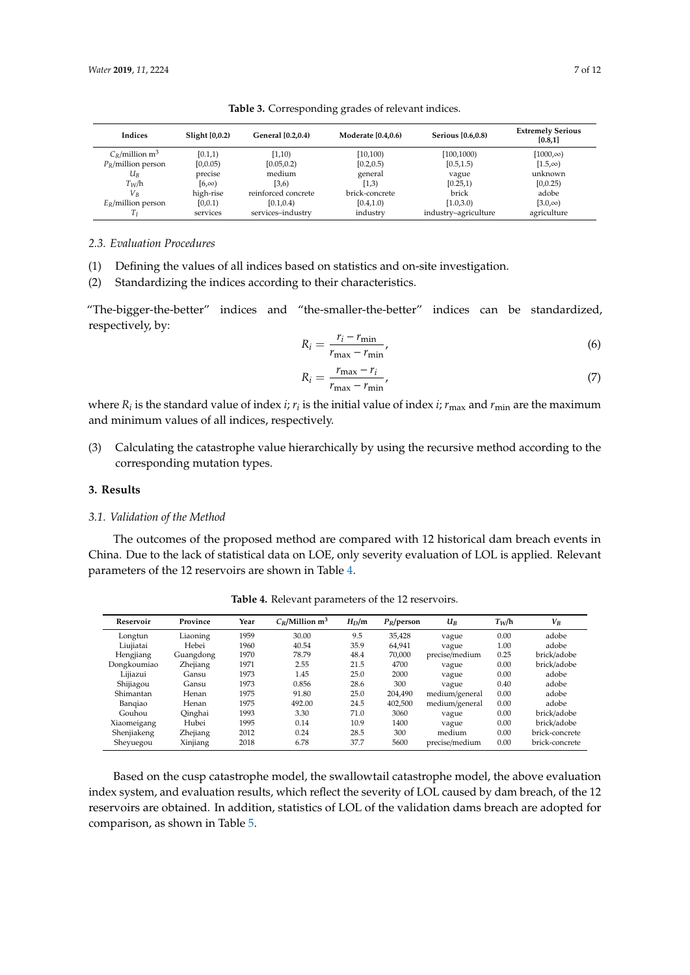<span id="page-7-0"></span>

| <b>Indices</b>                | Slight [0,0.2) | General [0.2,0.4)   | <b>Moderate [0.4.0.6]</b> | Serious [0.6,0.8)    | <b>Extremely Serious</b><br>[0.8, 1] |
|-------------------------------|----------------|---------------------|---------------------------|----------------------|--------------------------------------|
| $C_R$ /million m <sup>3</sup> | [0.1,1)        | [1,10)              | [10, 100]                 | [100, 1000]          | $[1000,\infty)$                      |
| $P_R$ /million person         | [0,0.05)       | [0.05, 0.2)         | [0.2, 0.5)                | [0.5, 1.5)           | $[1.5,\infty)$                       |
| $U_B$                         | precise        | medium              | general                   | vague                | unknown                              |
| $T_W/h$                       | $[6, \infty)$  | (3,6)               | (1,3)                     | [0.25,1)             | [0, 0.25)                            |
| $V_R$                         | high-rise      | reinforced concrete | brick-concrete            | brick                | adobe                                |
| $E_R$ /million person         | [0,0.1)        | [0.1, 0.4]          | [0.4, 1.0]                | [1.0,3.0)            | $[3.0,\infty)$                       |
|                               | services       | services-industry   | industry                  | industry-agriculture | agriculture                          |

**Table 3.** Corresponding grades of relevant indices.

*2.3. Evaluation Procedures*

(1) Defining the values of all indices based on statistics and on-site investigation.

(2) Standardizing the indices according to their characteristics.

"The-bigger-the-better" indices and "the-smaller-the-better" indices can be standardized, respectively, by:

$$
R_i = \frac{r_i - r_{\min}}{r_{\max} - r_{\min}},\tag{6}
$$

$$
R_i = \frac{r_{\text{max}} - r_i}{r_{\text{max}} - r_{\text{min}}},\tag{7}
$$

where  $R_i$  is the standard value of index *i;*  $r_i$  is the initial value of index *i; r<sub>max</sub>* and  $r_{\min}$  are the maximum and minimum values of all indices, respectively.

(3) Calculating the catastrophe value hierarchically by using the recursive method according to the corresponding mutation types.

#### **3. Results**

#### *3.1. Validation of the Method*

The outcomes of the proposed method are compared with 12 historical dam breach events in China. Due to the lack of statistical data on LOE, only severity evaluation of LOL is applied. Relevant parameters of the 12 reservoirs are shown in Table [4.](#page-7-1)

<span id="page-7-1"></span>

| Reservoir   | Province  | Year | $C_R$ /Million m <sup>3</sup> | $H_D/m$ | $P_R$ /person | $U_B$          | $T_W/h$ | $V_B$          |
|-------------|-----------|------|-------------------------------|---------|---------------|----------------|---------|----------------|
| Longtun     | Liaoning  | 1959 | 30.00                         | 9.5     | 35.428        | vague          | 0.00    | adobe          |
| Liuiiatai   | Hebei     | 1960 | 40.54                         | 35.9    | 64.941        | vague          | 1.00    | adobe          |
| Hengjiang   | Guangdong | 1970 | 78.79                         | 48.4    | 70.000        | precise/medium | 0.25    | brick/adobe    |
| Dongkoumiao | Zhejiang  | 1971 | 2.55                          | 21.5    | 4700          | vague          | 0.00    | brick/adobe    |
| Liijazui    | Gansu     | 1973 | 1.45                          | 25.0    | 2000          | vague          | 0.00    | adobe          |
| Shijiagou   | Gansu     | 1973 | 0.856                         | 28.6    | 300           | vague          | 0.40    | adobe          |
| Shimantan   | Henan     | 1975 | 91.80                         | 25.0    | 204,490       | medium/general | 0.00    | adobe          |
| Bangiao     | Henan     | 1975 | 492.00                        | 24.5    | 402.500       | medium/general | 0.00    | adobe          |
| Gouhou      | Qinghai   | 1993 | 3.30                          | 71.0    | 3060          | vague          | 0.00    | brick/adobe    |
| Xiaomeigang | Hubei     | 1995 | 0.14                          | 10.9    | 1400          | vague          | 0.00    | brick/adobe    |
| Shenjiakeng | Zhejiang  | 2012 | 0.24                          | 28.5    | 300           | medium         | 0.00    | brick-concrete |
| Sheyuegou   | Xinjiang  | 2018 | 6.78                          | 37.7    | 5600          | precise/medium | 0.00    | brick-concrete |

**Table 4.** Relevant parameters of the 12 reservoirs.

Based on the cusp catastrophe model, the swallowtail catastrophe model, the above evaluation index system, and evaluation results, which reflect the severity of LOL caused by dam breach, of the 12 reservoirs are obtained. In addition, statistics of LOL of the validation dams breach are adopted for comparison, as shown in Table [5.](#page-8-0)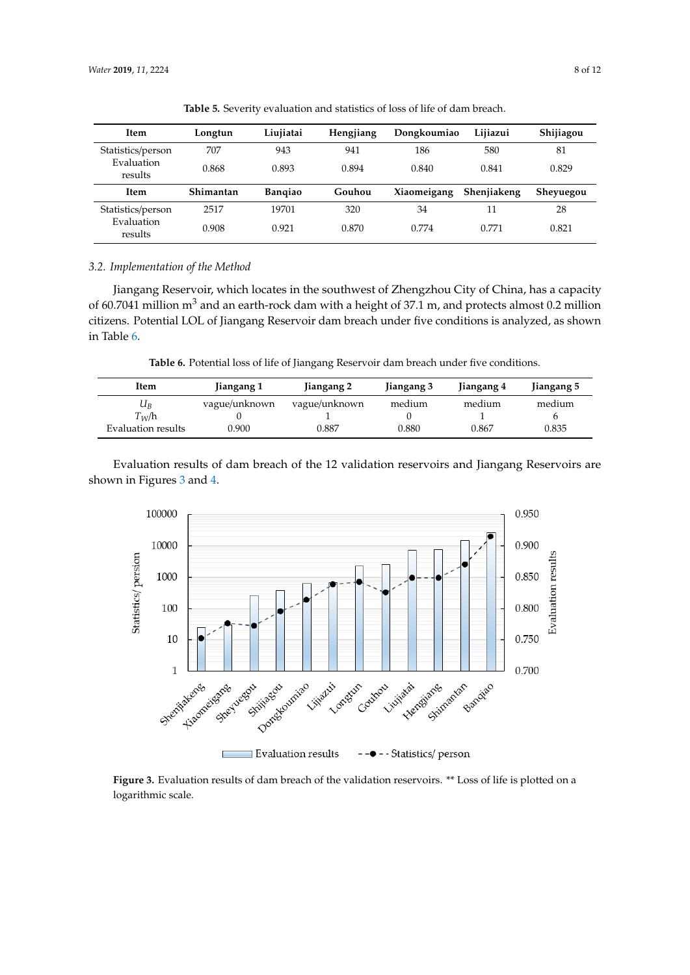<span id="page-8-0"></span>

| <b>Item</b>           | Longtun   | Liujiatai      | Hengjiang | Dongkoumiao | Lijiazui    | Shijiagou |
|-----------------------|-----------|----------------|-----------|-------------|-------------|-----------|
| Statistics/person     | 707       | 943            | 941       | 186         | 580         | 81        |
| Evaluation<br>results | 0.868     | 0.893          | 0.894     | 0.840       | 0.841       | 0.829     |
| <b>Item</b>           | Shimantan | <b>Bangiao</b> | Gouhou    | Xiaomeigang | Shenjiakeng | Sheyuegou |
| Statistics/person     | 2517      | 19701          | 320       | 34          | 11          | 28        |
| Evaluation<br>results | 0.908     | 0.921          | 0.870     | 0.774       | 0.771       | 0.821     |

**Table 5.** Severity evaluation and statistics of loss of life of dam breach.

# *3.2. Implementation of the Method 3.2. Implementation of the Method*

Jiangang Reservoir, which locates in the southwest of Zhengzhou City of China, has a capacity Jiangang Reservoir, which locates in the southwest of Zhengzhou City of China, has a capacity of 60.7041 million  $m^3$  and an earth-rock dam with a height of 37.1 m, and protects almost 0.2 million citizens. Potential LOL of Jiangang Reservoir dam breach under five conditions is analyzed, as shown citizens. Potential LOL of Jiangang Reservoir dam breach under five conditions is analyzed, as in Table [6.](#page-8-1)

*Water* **2019**, *11*, x FOR PEER REVIEW 8 of 11

**Table 6.** Potential loss of life of Jiangang Reservoir dam breach under five conditions. **Table 6.** Potential loss of life of Jiangang Reservoir dam breach under five conditions.

<span id="page-8-1"></span>

| Item               | Jiangang 1    | Jiangang 2    | Jiangang 3 | Jiangang 4 | Jiangang 5 |
|--------------------|---------------|---------------|------------|------------|------------|
| $U_B$              | vague/unknown | vague/unknown | medium     | medium     | medium     |
| $T_{W}/h$          |               |               |            |            |            |
| Evaluation results | 0.900         | 0.887         | 0.880      | 0.867      | 0.835      |
|                    |               |               |            |            |            |

Evaluation results of dam breach of the 12 validation reservoirs and Jiangang Reservoirs are Evaluation results of dam breach of the 12 validation reservoirs and Jiangang Reservoirs are shown in Figures 3 and 4. shown in Figures [3](#page-8-2) and [4.](#page-9-0)

<span id="page-8-2"></span>

**Figure 3.** Evaluation results of dam breach of the validation reservoirs. \*\* Loss of life is plotted on a **Figure 3.** Evaluation results of dam breach of the validation reservoirs. \*\* Loss of life is plotted on a logarithmic scale. logarithmic scale.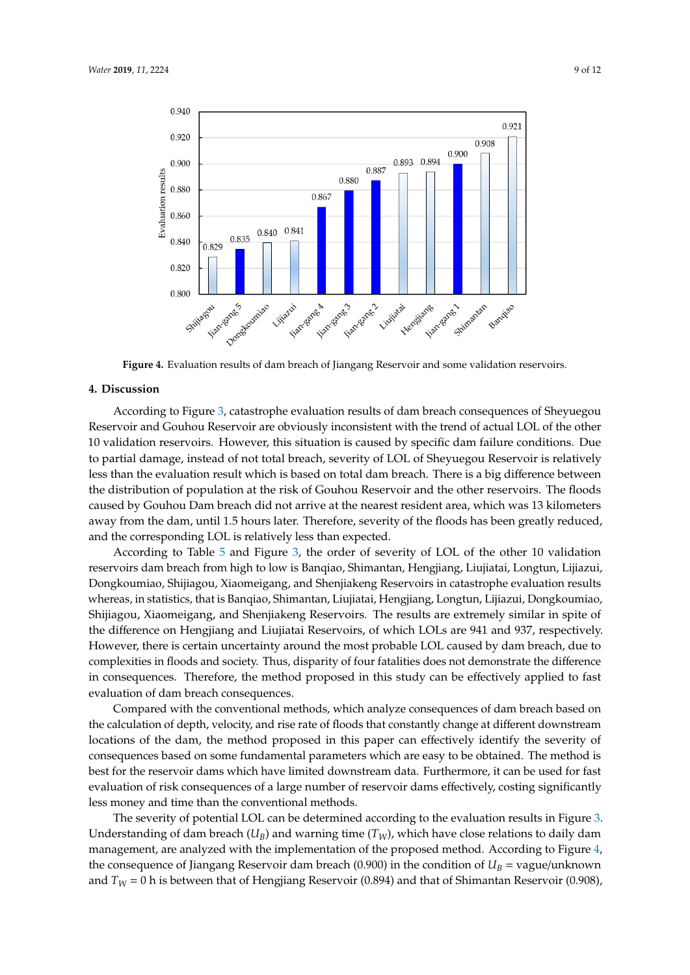<span id="page-9-0"></span>

Figure 4. Evaluation results of dam breach of Jiangang Reservoir and some validation reservoirs.

#### **4. Discussion**

According to Figure [3,](#page-8-2) catastrophe evaluation results of dam breach consequences of Sheyuegou Reservoir and Gouhou Reservoir are obviously inconsistent with the trend of actual LOL of the other 10 validation reservoirs. However, this situation is caused by specific dam failure conditions. Due to partial damage, instead of not total breach, severity of LOL of Sheyuegou Reservoir is relatively less than the evaluation result which is based on total dam breach. There is a big difference between the distribution of population at the risk of Gouhou Reservoir and the other reservoirs. The floods caused by Gouhou Dam breach did not arrive at the nearest resident area, which was 13 kilometers away from the dam, until 1.5 hours later. Therefore, severity of the floods has been greatly reduced, and the corresponding LOL is relatively less than expected.

According to Table [5](#page-8-0) and Figure [3,](#page-8-2) the order of severity of LOL of the other 10 validation reservoirs dam breach from high to low is Banqiao, Shimantan, Hengjiang, Liujiatai, Longtun, Lijiazui, Dongkoumiao, Shijiagou, Xiaomeigang, and Shenjiakeng Reservoirs in catastrophe evaluation results whereas, in statistics, that is Banqiao, Shimantan, Liujiatai, Hengjiang, Longtun, Lijiazui, Dongkoumiao, Shijiagou, Xiaomeigang, and Shenjiakeng Reservoirs. The results are extremely similar in spite of the difference on Hengjiang and Liujiatai Reservoirs, of which LOLs are 941 and 937, respectively. However, there is certain uncertainty around the most probable LOL caused by dam breach, due to complexities in floods and society. Thus, disparity of four fatalities does not demonstrate the difference in consequences. Therefore, the method proposed in this study can be effectively applied to fast evaluation of dam breach consequences.

Compared with the conventional methods, which analyze consequences of dam breach based on the calculation of depth, velocity, and rise rate of floods that constantly change at different downstream locations of the dam, the method proposed in this paper can effectively identify the severity of consequences based on some fundamental parameters which are easy to be obtained. The method is best for the reservoir dams which have limited downstream data. Furthermore, it can be used for fast evaluation of risk consequences of a large number of reservoir dams effectively, costing significantly less money and time than the conventional methods.

The severity of potential LOL can be determined according to the evaluation results in Figure [3.](#page-8-2) Understanding of dam breach  $(U_B)$  and warning time  $(T_W)$ , which have close relations to daily dam management, are analyzed with the implementation of the proposed method. According to Figure [4,](#page-9-0) the consequence of Jiangang Reservoir dam breach (0.900) in the condition of  $U_B$  = vague/unknown and  $T_W = 0$  h is between that of Hengjiang Reservoir (0.894) and that of Shimantan Reservoir (0.908),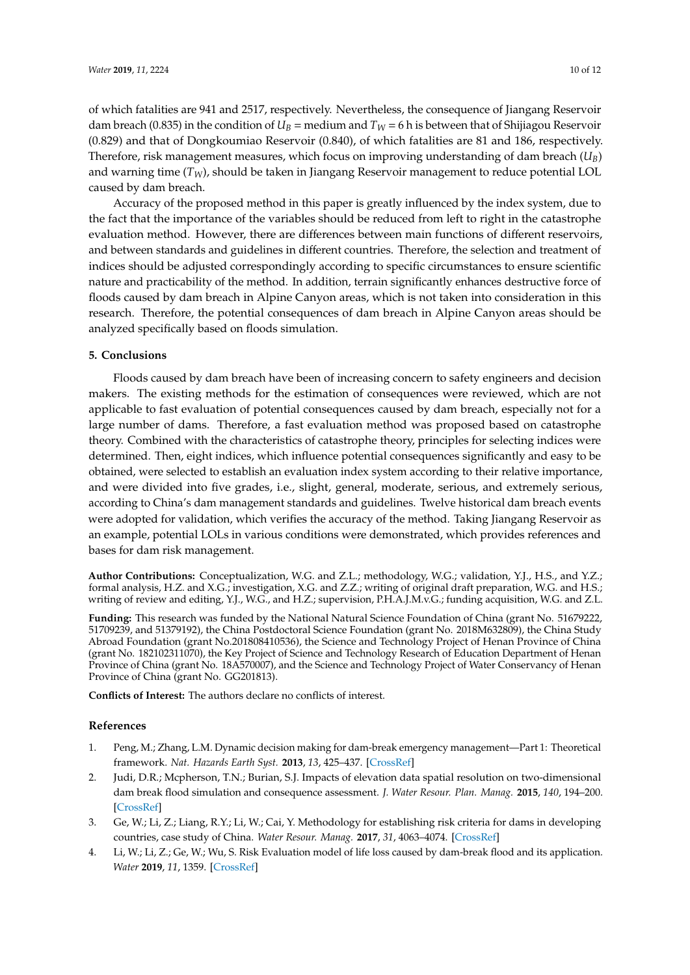of which fatalities are 941 and 2517, respectively. Nevertheless, the consequence of Jiangang Reservoir dam breach (0.835) in the condition of  $U_B$  = medium and  $T_W$  = 6 h is between that of Shijiagou Reservoir (0.829) and that of Dongkoumiao Reservoir (0.840), of which fatalities are 81 and 186, respectively. Therefore, risk management measures, which focus on improving understanding of dam breach (*UB*) and warning time (*TW*), should be taken in Jiangang Reservoir management to reduce potential LOL caused by dam breach.

Accuracy of the proposed method in this paper is greatly influenced by the index system, due to the fact that the importance of the variables should be reduced from left to right in the catastrophe evaluation method. However, there are differences between main functions of different reservoirs, and between standards and guidelines in different countries. Therefore, the selection and treatment of indices should be adjusted correspondingly according to specific circumstances to ensure scientific nature and practicability of the method. In addition, terrain significantly enhances destructive force of floods caused by dam breach in Alpine Canyon areas, which is not taken into consideration in this research. Therefore, the potential consequences of dam breach in Alpine Canyon areas should be analyzed specifically based on floods simulation.

#### **5. Conclusions**

Floods caused by dam breach have been of increasing concern to safety engineers and decision makers. The existing methods for the estimation of consequences were reviewed, which are not applicable to fast evaluation of potential consequences caused by dam breach, especially not for a large number of dams. Therefore, a fast evaluation method was proposed based on catastrophe theory. Combined with the characteristics of catastrophe theory, principles for selecting indices were determined. Then, eight indices, which influence potential consequences significantly and easy to be obtained, were selected to establish an evaluation index system according to their relative importance, and were divided into five grades, i.e., slight, general, moderate, serious, and extremely serious, according to China's dam management standards and guidelines. Twelve historical dam breach events were adopted for validation, which verifies the accuracy of the method. Taking Jiangang Reservoir as an example, potential LOLs in various conditions were demonstrated, which provides references and bases for dam risk management.

**Author Contributions:** Conceptualization, W.G. and Z.L.; methodology, W.G.; validation, Y.J., H.S., and Y.Z.; formal analysis, H.Z. and X.G.; investigation, X.G. and Z.Z.; writing of original draft preparation, W.G. and H.S.; writing of review and editing, Y.J., W.G., and H.Z.; supervision, P.H.A.J.M.v.G.; funding acquisition, W.G. and Z.L.

**Funding:** This research was funded by the National Natural Science Foundation of China (grant No. 51679222, 51709239, and 51379192), the China Postdoctoral Science Foundation (grant No. 2018M632809), the China Study Abroad Foundation (grant No.201808410536), the Science and Technology Project of Henan Province of China (grant No. 182102311070), the Key Project of Science and Technology Research of Education Department of Henan Province of China (grant No. 18A570007), and the Science and Technology Project of Water Conservancy of Henan Province of China (grant No. GG201813).

**Conflicts of Interest:** The authors declare no conflicts of interest.

#### **References**

- <span id="page-10-0"></span>1. Peng, M.; Zhang, L.M. Dynamic decision making for dam-break emergency management—Part 1: Theoretical framework. *Nat. Hazards Earth Syst.* **2013**, *13*, 425–437. [\[CrossRef\]](http://dx.doi.org/10.5194/nhess-13-425-2013)
- <span id="page-10-1"></span>2. Judi, D.R.; Mcpherson, T.N.; Burian, S.J. Impacts of elevation data spatial resolution on two-dimensional dam break flood simulation and consequence assessment. *J. Water Resour. Plan. Manag.* **2015**, *140*, 194–200. [\[CrossRef\]](http://dx.doi.org/10.1061/(ASCE)WR.1943-5452.0000274)
- 3. Ge, W.; Li, Z.; Liang, R.Y.; Li, W.; Cai, Y. Methodology for establishing risk criteria for dams in developing countries, case study of China. *Water Resour. Manag.* **2017**, *31*, 4063–4074. [\[CrossRef\]](http://dx.doi.org/10.1007/s11269-017-1728-0)
- <span id="page-10-2"></span>4. Li, W.; Li, Z.; Ge, W.; Wu, S. Risk Evaluation model of life loss caused by dam-break flood and its application. *Water* **2019**, *11*, 1359. [\[CrossRef\]](http://dx.doi.org/10.3390/w11071359)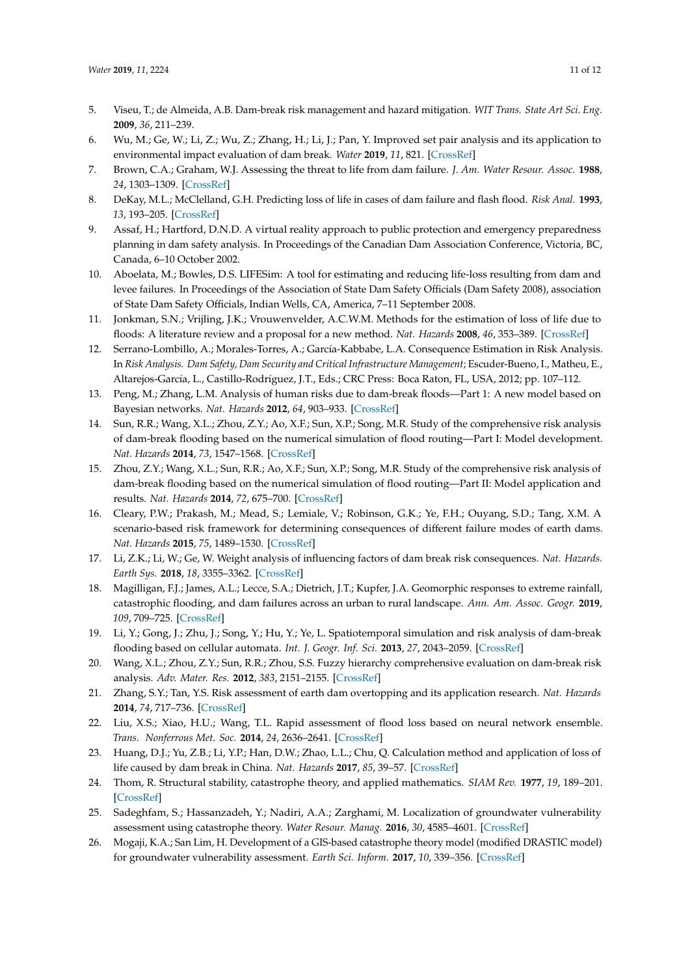- <span id="page-11-0"></span>5. Viseu, T.; de Almeida, A.B. Dam-break risk management and hazard mitigation. *WIT Trans. State Art Sci. Eng.* **2009**, *36*, 211–239.
- <span id="page-11-1"></span>6. Wu, M.; Ge, W.; Li, Z.; Wu, Z.; Zhang, H.; Li, J.; Pan, Y. Improved set pair analysis and its application to environmental impact evaluation of dam break. *Water* **2019**, *11*, 821. [\[CrossRef\]](http://dx.doi.org/10.3390/w11040821)
- <span id="page-11-2"></span>7. Brown, C.A.; Graham, W.J. Assessing the threat to life from dam failure. *J. Am. Water Resour. Assoc.* **1988**, *24*, 1303–1309. [\[CrossRef\]](http://dx.doi.org/10.1111/j.1752-1688.1988.tb03051.x)
- <span id="page-11-3"></span>8. DeKay, M.L.; McClelland, G.H. Predicting loss of life in cases of dam failure and flash flood. *Risk Anal.* **1993**, *13*, 193–205. [\[CrossRef\]](http://dx.doi.org/10.1111/j.1539-6924.1993.tb01069.x)
- <span id="page-11-4"></span>9. Assaf, H.; Hartford, D.N.D. A virtual reality approach to public protection and emergency preparedness planning in dam safety analysis. In Proceedings of the Canadian Dam Association Conference, Victoria, BC, Canada, 6–10 October 2002.
- <span id="page-11-5"></span>10. Aboelata, M.; Bowles, D.S. LIFESim: A tool for estimating and reducing life-loss resulting from dam and levee failures. In Proceedings of the Association of State Dam Safety Officials (Dam Safety 2008), association of State Dam Safety Officials, Indian Wells, CA, America, 7–11 September 2008.
- <span id="page-11-6"></span>11. Jonkman, S.N.; Vrijling, J.K.; Vrouwenvelder, A.C.W.M. Methods for the estimation of loss of life due to floods: A literature review and a proposal for a new method. *Nat. Hazards* **2008**, *46*, 353–389. [\[CrossRef\]](http://dx.doi.org/10.1007/s11069-008-9227-5)
- <span id="page-11-7"></span>12. Serrano-Lombillo, A.; Morales-Torres, A.; García-Kabbabe, L.A. Consequence Estimation in Risk Analysis. In *Risk Analysis. Dam Safety, Dam Security and Critical Infrastructure Management*; Escuder-Bueno, I., Matheu, E., Altarejos-García, L., Castillo-Rodríguez, J.T., Eds.; CRC Press: Boca Raton, FL, USA, 2012; pp. 107–112.
- <span id="page-11-8"></span>13. Peng, M.; Zhang, L.M. Analysis of human risks due to dam-break floods—Part 1: A new model based on Bayesian networks. *Nat. Hazards* **2012**, *64*, 903–933. [\[CrossRef\]](http://dx.doi.org/10.1007/s11069-012-0275-5)
- <span id="page-11-9"></span>14. Sun, R.R.; Wang, X.L.; Zhou, Z.Y.; Ao, X.F.; Sun, X.P.; Song, M.R. Study of the comprehensive risk analysis of dam-break flooding based on the numerical simulation of flood routing—Part I: Model development. *Nat. Hazards* **2014**, *73*, 1547–1568. [\[CrossRef\]](http://dx.doi.org/10.1007/s11069-014-1154-z)
- <span id="page-11-10"></span>15. Zhou, Z.Y.; Wang, X.L.; Sun, R.R.; Ao, X.F.; Sun, X.P.; Song, M.R. Study of the comprehensive risk analysis of dam-break flooding based on the numerical simulation of flood routing—Part II: Model application and results. *Nat. Hazards* **2014**, *72*, 675–700. [\[CrossRef\]](http://dx.doi.org/10.1007/s11069-013-1029-8)
- <span id="page-11-11"></span>16. Cleary, P.W.; Prakash, M.; Mead, S.; Lemiale, V.; Robinson, G.K.; Ye, F.H.; Ouyang, S.D.; Tang, X.M. A scenario-based risk framework for determining consequences of different failure modes of earth dams. *Nat. Hazards* **2015**, *75*, 1489–1530. [\[CrossRef\]](http://dx.doi.org/10.1007/s11069-014-1379-x)
- <span id="page-11-12"></span>17. Li, Z.K.; Li, W.; Ge, W. Weight analysis of influencing factors of dam break risk consequences. *Nat. Hazards. Earth Sys.* **2018**, *18*, 3355–3362. [\[CrossRef\]](http://dx.doi.org/10.5194/nhess-18-3355-2018)
- <span id="page-11-13"></span>18. Magilligan, F.J.; James, A.L.; Lecce, S.A.; Dietrich, J.T.; Kupfer, J.A. Geomorphic responses to extreme rainfall, catastrophic flooding, and dam failures across an urban to rural landscape. *Ann. Am. Assoc. Geogr.* **2019**, *109*, 709–725. [\[CrossRef\]](http://dx.doi.org/10.1080/24694452.2018.1507814)
- <span id="page-11-14"></span>19. Li, Y.; Gong, J.; Zhu, J.; Song, Y.; Hu, Y.; Ye, L. Spatiotemporal simulation and risk analysis of dam-break flooding based on cellular automata. *Int. J. Geogr. Inf. Sci.* **2013**, *27*, 2043–2059. [\[CrossRef\]](http://dx.doi.org/10.1080/13658816.2013.786081)
- <span id="page-11-15"></span>20. Wang, X.L.; Zhou, Z.Y.; Sun, R.R.; Zhou, S.S. Fuzzy hierarchy comprehensive evaluation on dam-break risk analysis. *Adv. Mater. Res.* **2012**, *383*, 2151–2155. [\[CrossRef\]](http://dx.doi.org/10.4028/www.scientific.net/AMR.550-553.2151)
- <span id="page-11-16"></span>21. Zhang, S.Y.; Tan, Y.S. Risk assessment of earth dam overtopping and its application research. *Nat. Hazards* **2014**, *74*, 717–736. [\[CrossRef\]](http://dx.doi.org/10.1007/s11069-014-1207-3)
- <span id="page-11-17"></span>22. Liu, X.S.; Xiao, H.U.; Wang, T.L. Rapid assessment of flood loss based on neural network ensemble. *Trans. Nonferrous Met. Soc.* **2014**, *24*, 2636–2641. [\[CrossRef\]](http://dx.doi.org/10.1016/S1003-6326(14)63393-8)
- <span id="page-11-18"></span>23. Huang, D.J.; Yu, Z.B.; Li, Y.P.; Han, D.W.; Zhao, L.L.; Chu, Q. Calculation method and application of loss of life caused by dam break in China. *Nat. Hazards* **2017**, *85*, 39–57. [\[CrossRef\]](http://dx.doi.org/10.1007/s11069-016-2557-9)
- <span id="page-11-19"></span>24. Thom, R. Structural stability, catastrophe theory, and applied mathematics. *SIAM Rev.* **1977**, *19*, 189–201. [\[CrossRef\]](http://dx.doi.org/10.1137/1019036)
- <span id="page-11-20"></span>25. Sadeghfam, S.; Hassanzadeh, Y.; Nadiri, A.A.; Zarghami, M. Localization of groundwater vulnerability assessment using catastrophe theory. *Water Resour. Manag.* **2016**, *30*, 4585–4601. [\[CrossRef\]](http://dx.doi.org/10.1007/s11269-016-1440-5)
- <span id="page-11-21"></span>26. Mogaji, K.A.; San Lim, H. Development of a GIS-based catastrophe theory model (modified DRASTIC model) for groundwater vulnerability assessment. *Earth Sci. Inform.* **2017**, *10*, 339–356. [\[CrossRef\]](http://dx.doi.org/10.1007/s12145-017-0300-z)